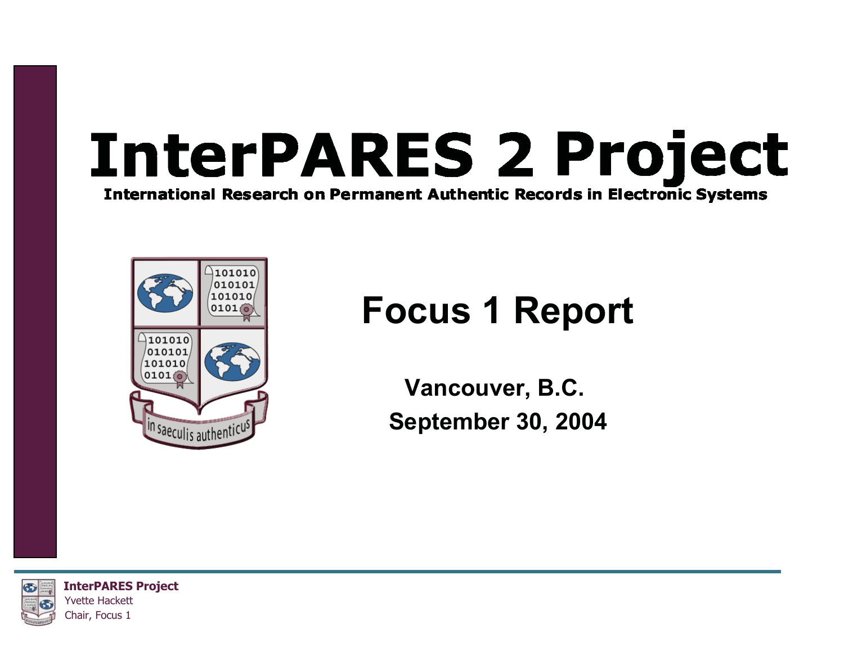### **InterPARES 2 Project International Research on Permanent Authentic Records in Electronic Systems**



### **Focus 1 Report**

**Vancouver, B.C. September 30, 2004**

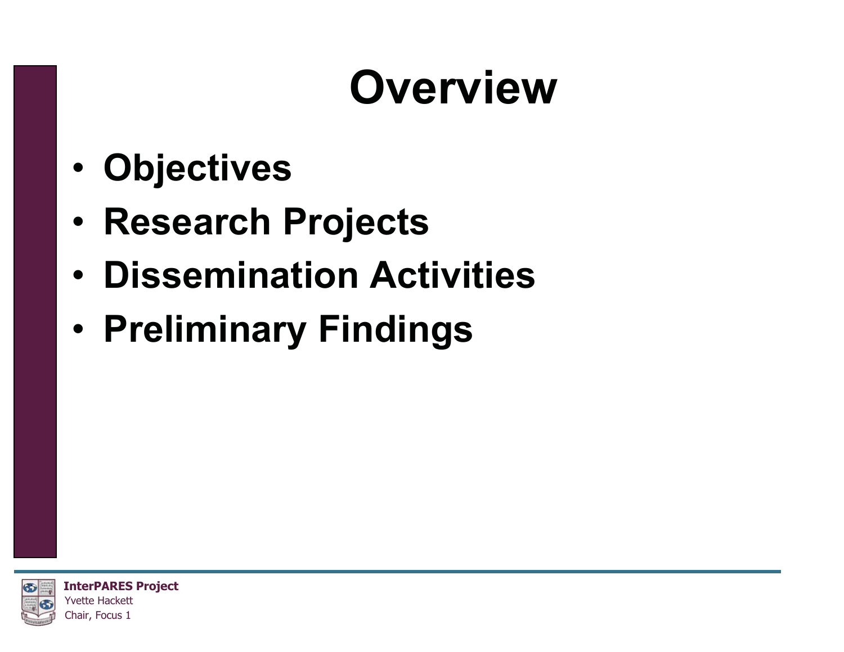### **Overview**

- •**Objectives**
- •**Research Projects**
- •**Dissemination Activities**
- •**Preliminary Findings**

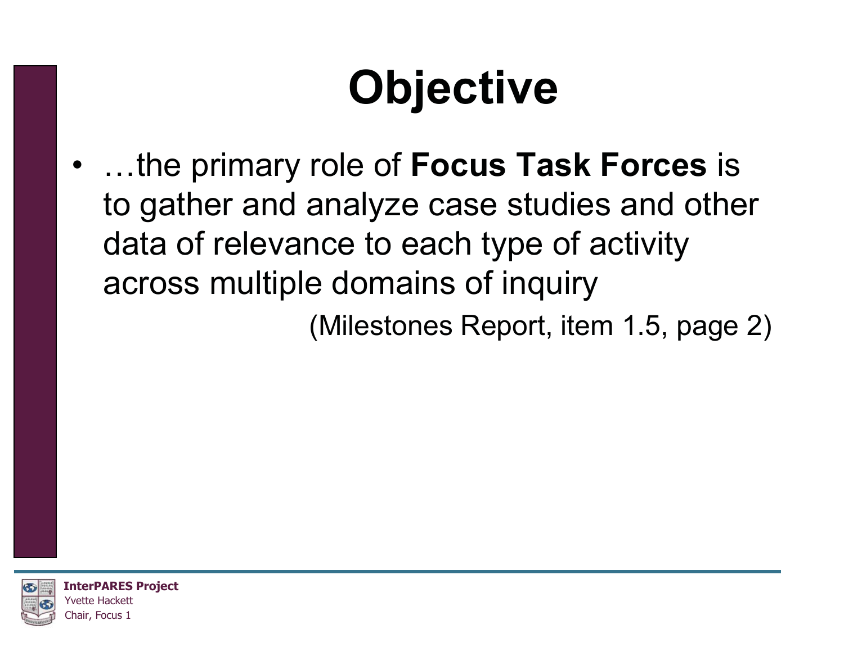## **Objective**

• …the primary role of **Focus Task Forces** is to gather and analyze case studies and other data of relevance to each type of activity across multiple domains of inquiry

(Milestones Report, item 1.5, page 2)

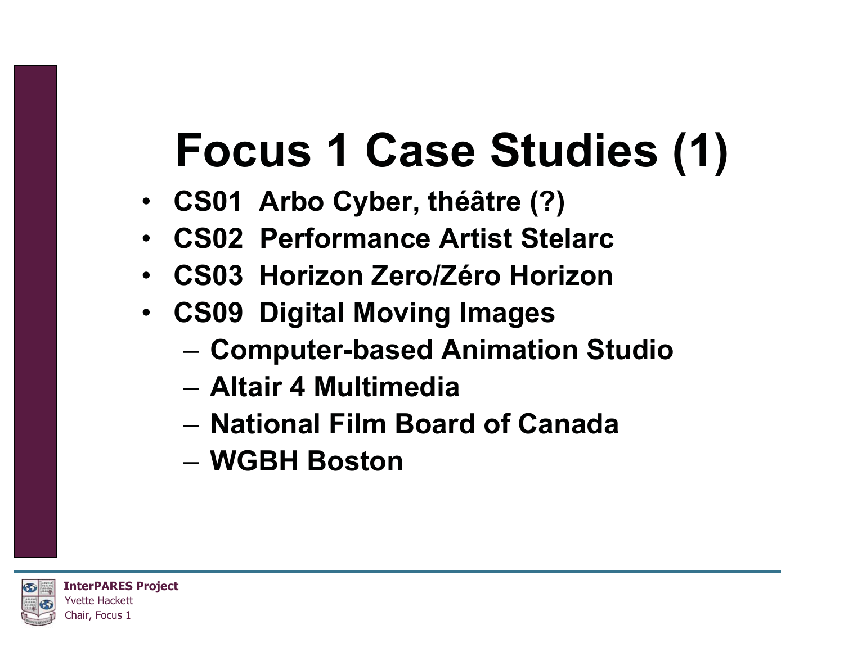## **Focus 1 Case Studies (1)**

- **CS01 Arbo Cyber, théâtre (?)**
- •**CS02 Performance Artist Stelarc**
- **CS03 Horizon Zero/Zéro Horizon**
- **CS09 Digital Moving Images**
	- –**Computer-based Animation Studio**
	- **Altair 4 Multimedia**
	- **National Film Board of Canada**
	- **WGBH Boston**

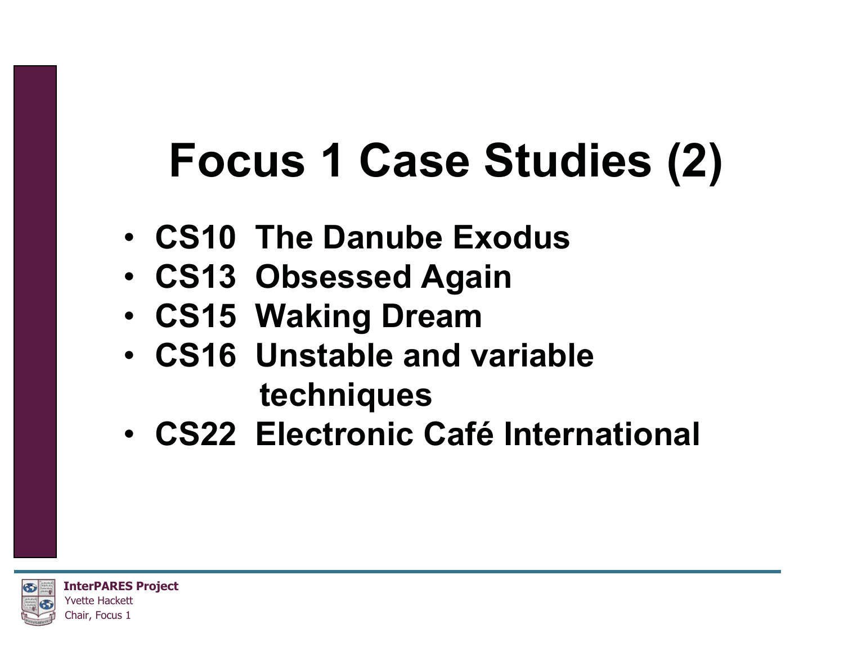## **Focus 1 Case Studies (2)**

- **CS10 The Danube Exodus**
- **CS13 Obsessed Again**
- **CS15 Waking Dream**
- **CS16 Unstable and variable techniques**
- **CS22 Electronic Café International**

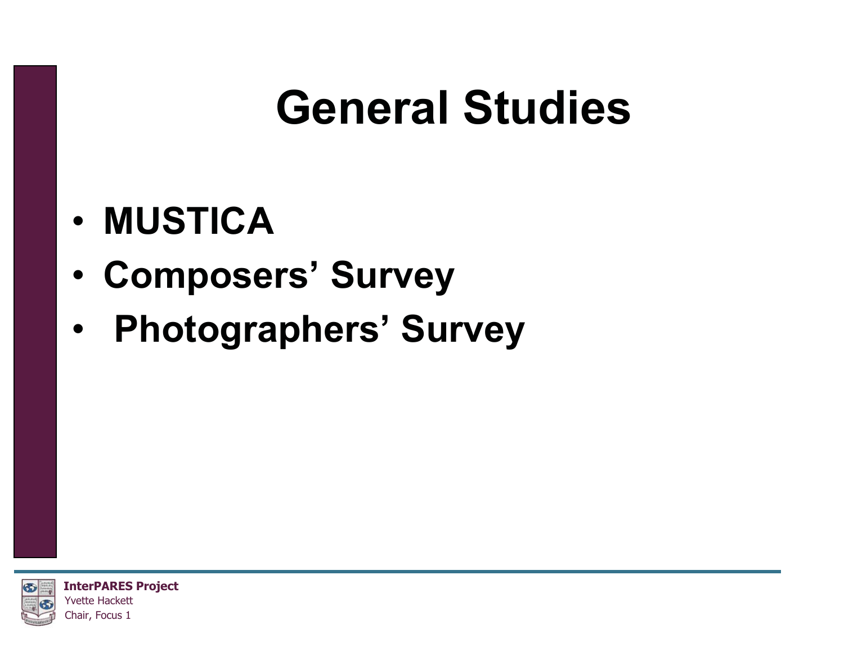### **General Studies**

- •**MUSTICA**
- •**Composers' Survey**
- •**Photographers' Survey**

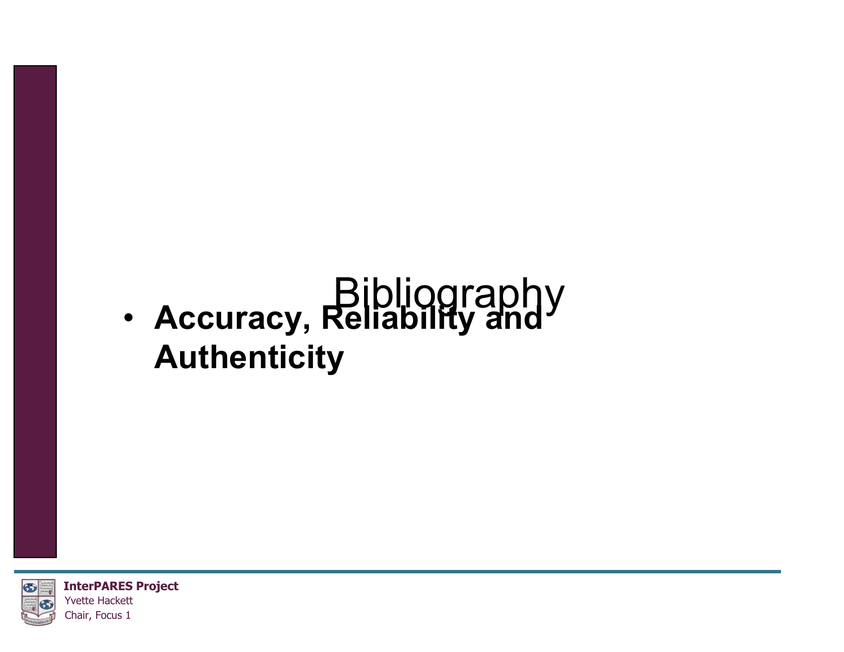### Bibliography • **Accuracy, Reliability and Authenticity**

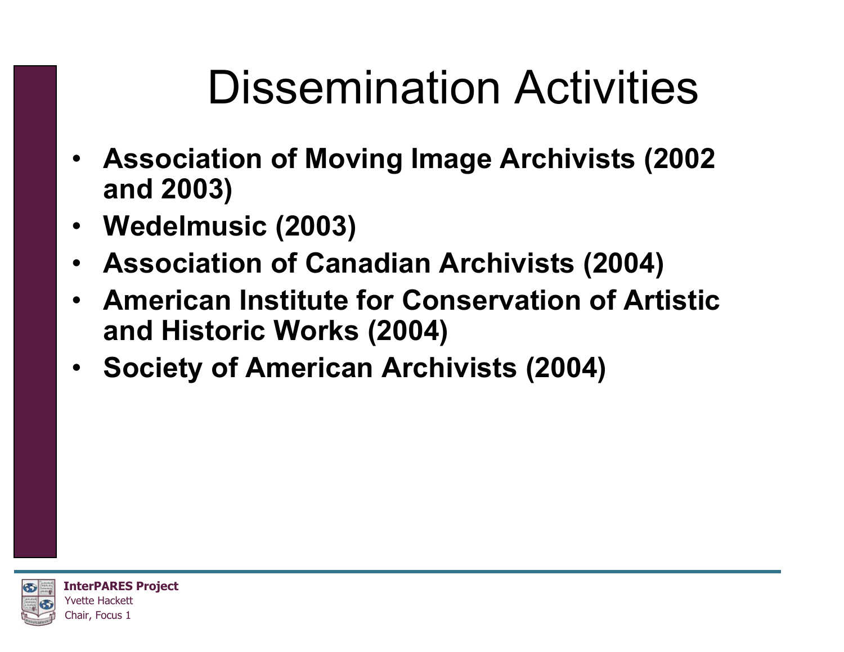### Dissemination Activities

- **Association of Moving Image Archivists (2002 and 2003)**
- **Wedelmusic (2003)**
- **Association of Canadian Archivists (2004)**
- **American Institute for Conservation of Artistic and Historic Works (2004)**
- **Society of American Archivists (2004)**

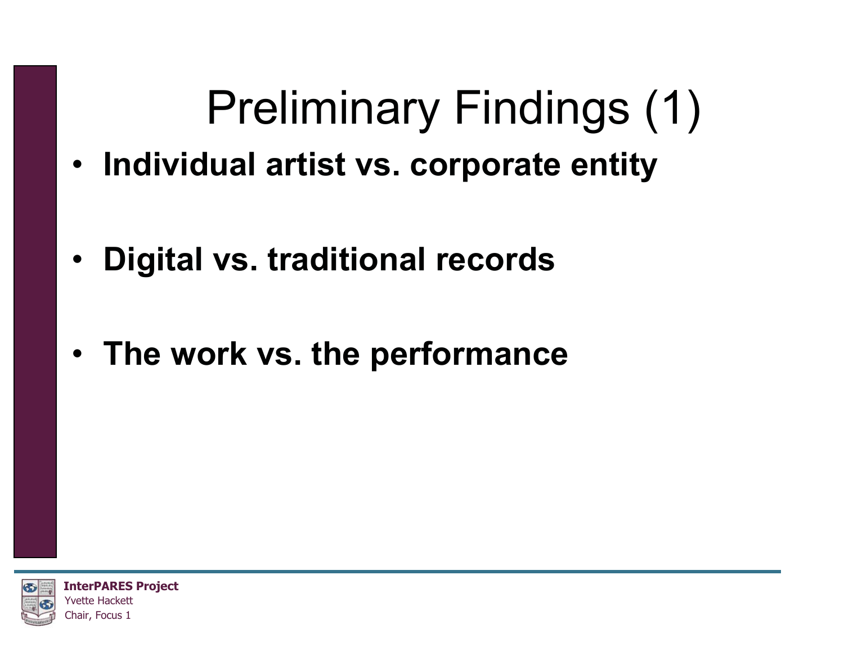## Preliminary Findings (1)

- **Individual artist vs. corporate entity**
- **Digital vs. traditional records**
- **The work vs. the performance**

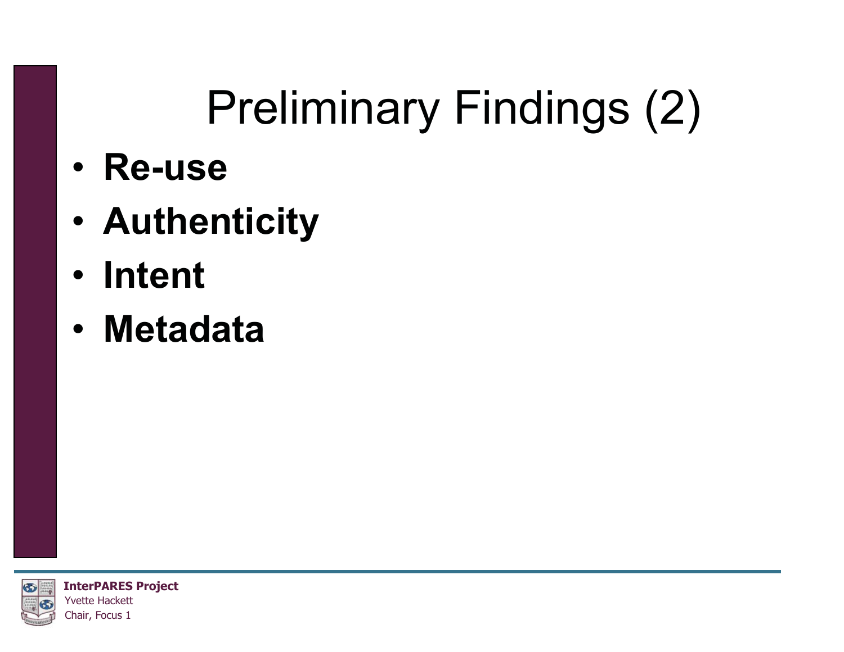## Preliminary Findings (2)

- •**Re-use**
- •**Authenticity**
- •**Intent**
- •**Metadata**

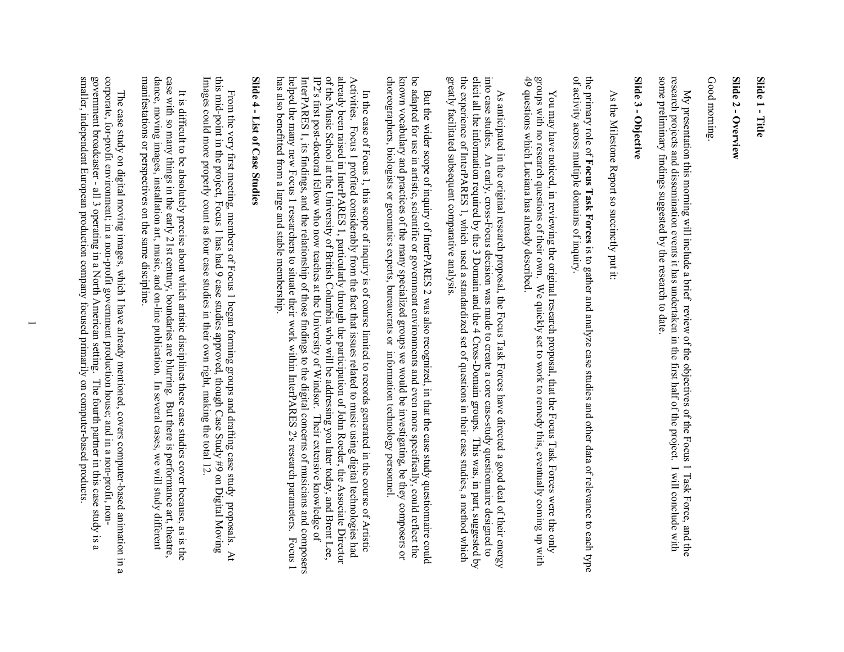#### Slide 1 - Title **Slide 1 - Title**

### Slide 2 - Overview **Slide 2 - Overview**

#### Good morning Good morning.

My presentation this morning will include a brief review of the objectives of the Focus 1 Task Force, and the research projects and dissemination events it has undertaken in the first half of the project. I will conclude w some preliminary findings suggested by the research to date. some preliminary findings suggested by the research to date. research projects and dissemination events it has undertaken in the first half of the project. I will conclude with My presentation this morning will include a brief revi ew of the objectives of the Focus 1 Task Force, and the

### Slide 3 - Objective **Slide 3 - Objective**

 As the Milestone Report so succinctly put it: As the Milestone Report so succinctly put it.

of activity across multiple domains of inquiry the primary role of Focus Task Forces is to gather and analyze case studies and other data of relevance to each type of activity across multiple domains of inquiry. the primary role of **Focus Task Forces**is to gather and analyze case studies and other data of relevance to each type

You may have noticed, in reviewing the original research proposal, that the Focus Task Forces were the only groups with no research questions of their own. We quickly set to work to remedy this, eventually coming up with 49 questions which Luciana has already described. groups with no research questions of their own. We quickly set to work to remedy this, eventually coming up with You may have noticed, in reviewing the original research proposal, that the Focus Task Forces were the only

elicit all the information required by the 3 Domain and the 4 Cross-Domain groups. This was, in part, suggested by greatly facilitated subsequent comparative analysis. the experience of InterPARES 1, which used a standardized set of questions in their case studies, a method which into case studies. An early, cross-Focus decision was made to create a core case-study questionnaire designed to greatly facilitated subsequent comparative analysis. the experience of InterPARES 1, which used a standardized set of questions in their case studies, a method which elicit all the information required by the 3 Domain and the 4 Cross-Domain groups. This was, in part, suggested by into case studies. An early, cross-Focus decision was As anticipated in the original research proposal, the Focus Task Forces have directed a good deal of their energy As anticipated in the original research proposal, the Focus Task Forces have directed a good deal of their energy made to create a core case-study questionnaire designed to

choreographers, biologists or geomatics experts, bureaucrats or information technology personnel known vocabulary and practices of the many specialized groups we would be investigating, be they composers or be adapted for use in artistic, scientific or government environments and even more specifically, could reflect the choreographers, biologists or geomatics experts, bureaucrats or information technology personnel. known vocabulary and practices of the many specialized groups we would be investigating, be they composers or be adapted for use in artistic, scientific or government environments and even more specifically, could reflect the But the wider scope of inquiry of InterPARES 2 But the wider scope of inquiry of InterPARES 2 was also recognized, in that the case study questionnaire could was also recognized, in that the case study questionnaire could

already been raised in InterPARES 1, particularly through the participation of John Roeder, the Associate Director has also benefitted from a large and stable membership. InterPARES 1, its findings, and the relationship of those findings to the digital concerns of musicians and composers<br>helped the many new Focus 1 researchers to situate their work within InterPARES 2's research parameters. of the Music School at the University of British Columbia who will be addressing you later today, and Brent Lee, has also benefitted from a large and stable membership. helped the many new Focus 1 researchers to situate their work within InterPARES 2's research parameters. Focus 1 InterPARES 1, its findings, and the relationship of those findings to the digital concerns of musicians and composers IP2's first post-doctoral fellow who now teaches at the University of Windsor. Their extensive knowledge of IP2's first post-doctoral fellow who now teaches at the University of Windsor. Their extensive knowledge of of the Music School at the University of British Columbia who will be addressing you later today, and Brent Lee, already been raised in InterPARES 1, particularly through the participation of John Roeder, the Associate Director Activities. Focus I profited considerably from the fact that issues related to music using digital technologies had Activities. Focus 1 profited considerably from the fact that issues related to music using digital technologies had In the case of Focus 1, this scope of inquiry is of course limited to records generated in the course of Artistic In the case of Focus 1, this scope of inquiry is of course limited to records generated in the course of Artistic

# Slide 4 - List of Case Studies **Slide 4 - List of Case Studies**

From the very first meeting, members of Focus 1 began forming groups and drafting case study proposals. At this mid-point in the project, Focus 1 has had 9 case studies approved, though Case Study #9 on Digital Moving Images could more properly count as four case studies in their own right, making the total 12. Images could more properly count as four case studies in their own right, making the total 12. this mid-point in the project, Focus 1 has had 9 case studies approved, though Case Study #9 on Digital Moving From the very first meeting, members of Focus 1 began forming groups and drafting case study proposals. At

case with so many things in the early 21st century, boundaries are blurring. But there is performance art, theatre, dance, moving images, installation art, music, and on-line publication. In several cases, we will study di manifestations or perspectives on the same dance, moving images, installation art, music, and on-line publication. In several cases, we will study different case with so many things in the early 21st century, boundaries are blurring. But there is performance art, theatre, It is difficult to be absolutely precise about which artistic disciplines these case studies cover because, as is the It is difficult to be absolutely precise about which attistic disciplines these case studies cover because, as is the

government broadcaster - all 3 operating in a North American setting. The fourth partner in this case study is a smaller, independent European production company focused primarily on computer-based products corporate, for-profit environment; in a non-profit government production house; and in a non-profit, nonsmaller, independent European production company focused primarily on computer-based products. government broadcaster - all 3 operating in a North American corporate, for-profit environment; in a non-profit government production house; and in a non-profit, non- The case study on digital moving images, which I have already mentioned, covers computer-based animation in a The case study on digital moving images, which I have already mentioned, covers computer-based animation in a setting. The fourth partner in this case study is a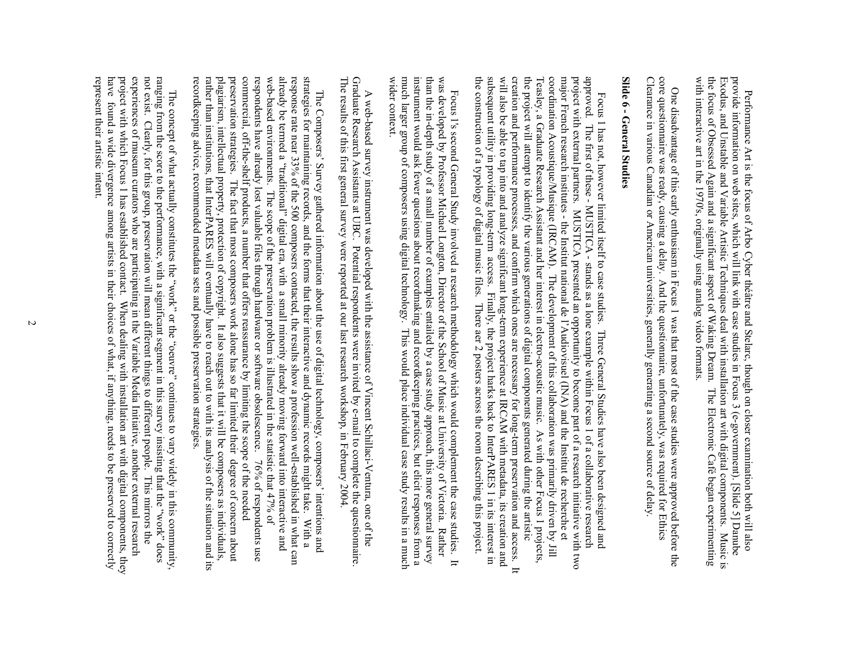provide information on web sites, which will link with case studies in Focus 3 (e-government). [Slide 5] Danube with interactive art in the 1970's, originally using analog video formats the focus of Obsessed Again and a significant aspect of Waking Dream. The Electronic Cafe began experimenting with interactive art in the 1970's, originally using analog video formats. the focus of Obsessed Again and a significant aspect of Waking Dream. The Electronic Café began experimenting Exodus, and Unstable and Variable Artistic Techniques deal with installation art with digital components. Music is Exodus, and Unstable and Variable Artistic Techniques deal with installation art with digital components. Music is provide information on web sites, which will link with case studies in Focus 3 (e-government). [Slide 5] Danube Performance Art is the focus of Arbo Cyber théâtre and Stelarc, though on closer examination both will also Performance Art is the focus of Arbo Cyber théâtre and Stelarc, though on closer examination both will also

core questionnaire was ready, causing a delay. And the questionnaire, unfortunately, was required for Ethics Clearance in various Canadian or American universities, generally generating a second source of delay Clearance in various Canadian or American universities, generally generating a second source of delay. core questionnaire was ready, causing a delay. And the questionnaire, unfortunately, was required for Ethics One disadvantage of this One disadvantage of this early enthusiasm in Focus 1 was that most of the case studies were approved before the early enthusiasm in Focus 1 was that most of the case studies were approved before the

## Slide 6 - General Studies **Slide 6 - General Studies**

subsequent utility in providing long-term access. Finally, the project harks back to InterPARES 1 in its interest in<br>the construction of a typology of digital music files. There aer 2 posters across the room describing thi creation and performance processes, and confirm which ones are necessary for long-term preservation and access. will also be able to tap into and analyze significant long-term experience at IRCAM with metadata, its creation and the project will attempt to identify the various generations of digital components generated during the artistic coordination Acoustique/Musique (IRCAM). The development of this collaboration was primarily driven by Jill major French research institutes - the Institut national de l'Audiovisuel (INA) and the Institut de recherche et project with external partners. MUSTICA presented an opportunity to become part of a research initiative with two approved. The first of these - MUSHICA - stands as a lone example within Focus 1 of a collaborative research the construction of a typology of digital music files. There aer 2 posters across the room describing this project. subsequent utility in providing long-term access. Finally, the project harks back to InterPARES 1 in its interest in will also be able to tap into and analyze significant l creation and performance processes, and confirm which ones are necessary for long-term preservation and access. It the project will attempt to identify the various generations of digital components generated during the artistic Teasley, a Graduate Research Assistant and her interest in electro-acoustic music. As with other Focus 1 projects Teasley, a Graduate Research Assistant and her interest in electro-acoustic music. As with other Focus 1 projects, coordination Acoustique/Musique (IRCAM). The development of this collaboration was primarily driven by Jill major French research institutes - the Institut national de l'Audiovissiel (INA) and the Institut de recherche et project with external partners. MUSTICA presented an opportunity to become part of a research initiative with two approved. The first of these - MUSTICA - stands as a lone example within Focus 1 of a collaborative research Focus 1 has not, however limited itself to case studies. Three General Studies have also been designed and Focus 1 has not, however limited itself to case studies. Three General Studies have also been designed and ong-term experience at IRCAM with metadata, its creation and  $\overline{u}$ 

instrument would ask fewer questions about recordmaking and recordkeeping practices, but elicit responses from a<br>much larger group of composers using digital technology. This would place individual case study results in a was developed by Professor Michael Longton, Director of the School of Music at University of Victoria. Rather wider context than the in-depth study of a small number of examples entailed by a case study approach, this more general survey wider context. much larger group of composers using digital technology. This would place individual case study results in a much instrument would ask fewer questions about recordmaking and recordkeeping practices, but elicit responses from a than the in-depth study of a small number of examples entailed by a case study approach, this more general survey was developed by Professor Michael Longton, Director of the School of Music at University of Victoria. Rather Focus 1's second General Study involved a research methodology which would complement the case studies. It Focus I's second General Study involved a research methodology which would complement the case studies. It

The results of this first general survey were reported at our last research workshop, in February 2004 Graduate Research Assistants at UBC. Potential respondents were invited by e-mail to complete the questionnaire The results of this first general survey were reported at our last research workshop, in February 2004. Graduate Research Assistants at UBC. Potential respondents were invited by e-mail to complete the questionnaire. A web-based survey instrument was developed with A web-based survey instrument was developed with the assistance of Vincent Schillaci-Ventura, one of the the assistance of Vincent Schillaci-Ventura, one of the

plagiarism, intellectual property, protection of copyright. It also suggests that it will be composers as individuals, rather than institutions, that InterPARES will eventually have to reach out to with its analysis of the web-based environments. The scope of the preservation problem is illustrated in the statistic that  $47\%$  of preservation strategies. The fact that most composers work alone has so far limited their degree of concern about communiculary of the shall products, a number that offers reassinglence by limiting the secope of the needed respondents have already lost valuable files through hardware or software obsolescence. already be termed a "traditional" digital era, with a small minority already moving forward into interactive and response rate near 33% of the 500 composers contacted, the results show a profession well-established in what can strategies for maintaining records, and the forms that their interactive and dynamic records might take. recordkeeping advice, recommended metadata rather than institutions, that InterPARES will eventually have to reach out to with its analysis of the situation and its plagiarism, intellectual property, protection of preservation strategies. The fact that most composers work alone has so far limited their degree of concern about commercial, off-the-shelf products, a number that offers reassurance by limiting the scope of the needed respondents have already lost valuable files through hardware or software obsolescence. 76% of respondents use web-based environments. The scope of the preservation preservation is illustrated in the statistic that  $47\%$  of already be termed a "traditional" digital era, with a small minority already moving forward into interactive and response rate near 33% of the 500 composers contacted, th strategies for maintaining records, and the forms that their interactive and dynamic records might take. With a The Composers' Survey gathered information about the use of digital technology, composers' intentions and The Composers' Survey gathered information about the use of digital technology, composers' intentions and copyright. It also suggests that it will be composers as individuals, sets and possible preservation strategies. e results show a profession well-established in what can 76% of respondents use With a

experiences of museum curators who are participating in the Variable Media Initiative, another external research not exist. Clearly, for this group, preservation will mean different things to different people. ranging from the score to the performance, with a significant segment in this survey insisting that the "work" does represent their artistic intent. have found a wide divergence anong artists in their choices of what, if anything, needs to be preserved to correctly project with which Focus 1 has established contact. When dealing with installation art with digital components, they represent their artistic intent. have found a wide divergence among artists in their choices of what, if anything, needs to be preserved to correctly project with which Focus 1 has established contact. When dealing with installation art with digital components, they experiences of museum curators who are participating in the Variable Media Initiative, another external research not exist. Clearly, for this group, preservation will mean different things to different people. This mirrors the ranging from the score to the performance, with a significant segment in this survey insisting that the "work" does The concept of what actually constitutes the "work" or the "oeuvre" continues to vary widely in this community, The concept of what actually constitutes the "work" or the "oeuvre" continues to vary widely in this community This mirrors the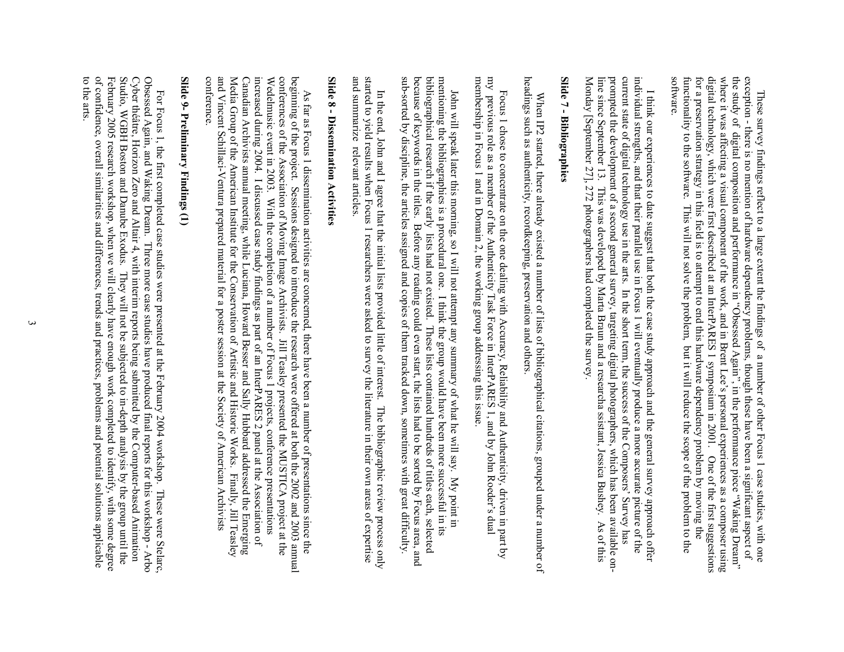exception - there is no mention of hardware dependency problems, though these have been a significant aspect of<br>the study of digital composition and performance in "Obsessed Again", in the performance piece "Waking Dream" software functionality to the software. This will not solve the problem, but it will reduce the scope of the problem to the for a preservation strategy in this field is to attempt to end this hardware dependency problem by moving the digital technology, which were first described at an InterPARES 1 symposium in 2001. where it was affecting a visual component of the work, and in Brent Lee's personal experiences as a composer using software. functionality to the software. This will not solve the problem, but it will reduce the scope of the problem to the for a preservation strategy in this field is to attempt to end this hardware dependency problem by moving the digital technology, which were first described at an InterPARES 1 symposium in 2001. One of the first suggestions where it was affecting a visual component of the work, and the study of digital composition and performance in "Obsessed Again", in the performance piece "Waking Dream" exception - there is no mention of hardware dependency problems, though these have been a significant aspect of These survey findings reflect to a large extent the findings of a number of other Focus 1 case studies, with one These survey findings reflect to a large extent the findings of a number of other Focus 1 case studies, with one in Brent Lee's personal experiences as a composer using One of the first suggestions

current state of digital technology use in the arts. In the short term, the success of the Composers' Survey has Monday [September 27], 272 photographers had completed the survey. prompted the development of a second general survey, targeting digital photographers, which has been available onindividual strengths, and that their parallel use in Focus 1 will eventually produce a more accurate picture of the Monday [September 27], 272 photographers had completed the survey. line since September 13. This was developed by Marta Braun and a researcha ssistant, Jessica Bushey. As of this line since September 13. This was developed by Marta Braun and a researcha ssistant, Jessica Bushey. As of this prompted the development of a second current state of digital technology use in the arts. In the short term, the success of the Composers' Survey has individual strengths, and that their parallel use in Focus 1 will eventually produce a more accurate picture of the I think our experiences to date suggest that both the case study approach and the general survey approach offer I think our experiences to date suggest that both the case study approach and the general survey approach offer general survey, targeting digital photographers, which has been available on-

### Slide 7 - Bibliographies **Slide 7 - Bibliographies**

headings such as authenticity, recordkeeping, preservation and others headings such as authenticity, recordkeeping, preservation and others. When IP2 started, there already existed a number of lists of bibliographical citations, grouped under a number of When IP2 started, there already existed a number of lists of bibliographical citations, grouped under a number of

Focus 1 chose to concentrate on the one dealing with Accuracy, Reliability and Authenticity, driven in part by my previous role as a member of the Authenticity Task Force in InterPARES 1, and by John Roeder's dual my previ membership in Focus 1 and in Domain 2, the working group addressing this issue. membership in Focus 1 and in Domain 2, the working group addressing this issue. my previous role as a member of the Authenticity Task Force in InterPARES 1, and by John Roeder's dual Focus 1 chose to concentrate on the one dealing with Accuracy, Reliability and Authenticity, driven in part by

sub-sorted by discipline, the articles assigned and copies of them tracked down, sometimes with great difficulty because of keywords in the titles. Before any reading could even start, the lists had to be sorted by Focus area, and bibliographical research if the early lists had not existed. These lists contained hundreds of titles each, selected mentioning the bibliographies is a procedural one. I think the group would have been more successful in its sub-sorted by discipline, the articles a because of keywords in the titles. Before any reading could even start, the lists had to be sorted by Focus area, and bibliographical research if the early lists had not existed. These lists contained hundreds of titles each, selected mentioning the bibliographies is a procedural one. I think the group would have been more successful in its John will speak later this morning, so I will not attempt any summary of what he will say. My point in John will speak later this morning, so I will not attempt any summary of what he will say. My point in ssigned and copies of them tracked down, sometimes with great difficulty.

started to yield results when Focus 1 researchers were asked to survey the literature in their own areas of expertise and summarize relevant articles and summarize relevant articles. started to yield results when Focus 1 researchers were asked to survey the literature in their own areas of expertise In the end, John and I agree that the initial lists provided little of interest. The bibliographic review process only In the end, John and I agree that the initial lists provided little of interest. The bibliographic review process only

# Slide 8 - Dissemination Activities **Slide 8 - Dissemination Activities**

increased during 2004. I discussed case study findings as part of an InterPARES 2 panel at the Association of conferences of the Association of Moving Image Archivists. Jill Teasley presented the MUSTICA project at the conference. and Vincent Schillaci-Ventura prepared material for a poster session at the Society of American Archivists Media Group of the American Institute for the Conservation of Artistic and Historic Works. Finally, Jill Teasley Canadian Archivists annual meeting, while Luciana, Howard Besser and Sally Hubbard addressed the Emerging Wedelmusic event in 2003. With the completion of a number of Focus 1 projects, conference presentations beginning of the project. Sessions designed to introduce the research were offered at both the 2002 and 2003 annual conference. and Vincent Schillaci-Ventura prepared material for a poster session at the Society of American Archivists Media Group of the American Institute Canadian Archivists annual meeting, while Luciana, Howard Besser and Sally Hubbard addressed the Emerging increased during 2004. I discussed case study findings as part of an InterPARES 2 panel at the Association of Wedelmusic event in 2003. With the completion of a number of Focus 1 projects, conference presentations conferences of the Association of Moving Image Archivists. Jill Teasley presented the MUSTICA project at the beginning of the project. Sessions designed to introduce the research were offered at both the 2002 and 2003 annual As far as Focus 1 dissemination activities are conce As far as Focus 1 dissemination activities are concerned, there have been a number of presentations since the for the Conservation of Artistic and Historic Works. Finally, Jill Teasley rned, there have been a number of presentations since the

# Slide 9- Preliminary Findings (1) **Slide 9- Preliminary Findings (1)**

to the arts. of confidence, overall similarities and differences, trends and practices, problems and potential solutions applicable February 2005 research workshop, when we will clearly have enough work completed to identify, with some degree Cyber théâtre, Horizon Zero and Altair 4, with interim reports being submitted by the Computer-based Animation<br>Studio, WGBH Boston and Danube Exodus. They will not be subjected to in-depth analysis by the group until the Obsessed Again, and Waking Dream. Three more case studies have produced final reports for this workshop - Arbo to the arts. of confidence, overall similarities and differences, trends and practices, problems and potential solutions applicable February 2005 research workshop, when we will clearly have enough work completed to identify, with some degree Studio, WGBH Boston and Danube Exodus. They will not be subjected to in-depth analysis by the group until the Cyber théâtre, Horizon Zero and Altair 4, with interim Obsessed Again, and Waking Dream. Three more case studies have produced final reports for this workshop - Arbo For Focus 1, the first completed case studies were presented at the February 2004 workshop. These were Stelarc, Fous 1, the first completed case studies were presented at the February 2004 workshop. These were Stelarc reports being submitted by the Computer-based Animation